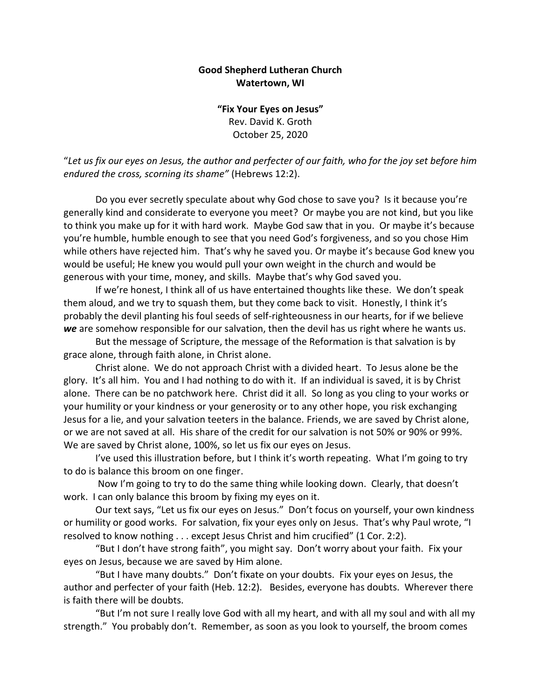## **Good Shepherd Lutheran Church Watertown, WI**

**"Fix Your Eyes on Jesus"** Rev. David K. Groth October 25, 2020

"*Let us fix our eyes on Jesus, the author and perfecter of our faith, who for the joy set before him endured the cross, scorning its shame"* (Hebrews 12:2).

Do you ever secretly speculate about why God chose to save you? Is it because you're generally kind and considerate to everyone you meet? Or maybe you are not kind, but you like to think you make up for it with hard work. Maybe God saw that in you. Or maybe it's because you're humble, humble enough to see that you need God's forgiveness, and so you chose Him while others have rejected him. That's why he saved you. Or maybe it's because God knew you would be useful; He knew you would pull your own weight in the church and would be generous with your time, money, and skills. Maybe that's why God saved you.

If we're honest, I think all of us have entertained thoughts like these. We don't speak them aloud, and we try to squash them, but they come back to visit. Honestly, I think it's probably the devil planting his foul seeds of self-righteousness in our hearts, for if we believe *we* are somehow responsible for our salvation, then the devil has us right where he wants us.

But the message of Scripture, the message of the Reformation is that salvation is by grace alone, through faith alone, in Christ alone.

Christ alone. We do not approach Christ with a divided heart. To Jesus alone be the glory. It's all him. You and I had nothing to do with it. If an individual is saved, it is by Christ alone. There can be no patchwork here. Christ did it all. So long as you cling to your works or your humility or your kindness or your generosity or to any other hope, you risk exchanging Jesus for a lie, and your salvation teeters in the balance. Friends, we are saved by Christ alone, or we are not saved at all. His share of the credit for our salvation is not 50% or 90% or 99%. We are saved by Christ alone, 100%, so let us fix our eyes on Jesus.

I've used this illustration before, but I think it's worth repeating. What I'm going to try to do is balance this broom on one finger.

Now I'm going to try to do the same thing while looking down. Clearly, that doesn't work. I can only balance this broom by fixing my eyes on it.

Our text says, "Let us fix our eyes on Jesus." Don't focus on yourself, your own kindness or humility or good works. For salvation, fix your eyes only on Jesus. That's why Paul wrote, "I resolved to know nothing . . . except Jesus Christ and him crucified" (1 Cor. 2:2).

"But I don't have strong faith", you might say. Don't worry about your faith. Fix your eyes on Jesus, because we are saved by Him alone.

"But I have many doubts." Don't fixate on your doubts. Fix your eyes on Jesus, the author and perfecter of your faith (Heb. 12:2). Besides, everyone has doubts. Wherever there is faith there will be doubts.

"But I'm not sure I really love God with all my heart, and with all my soul and with all my strength." You probably don't. Remember, as soon as you look to yourself, the broom comes